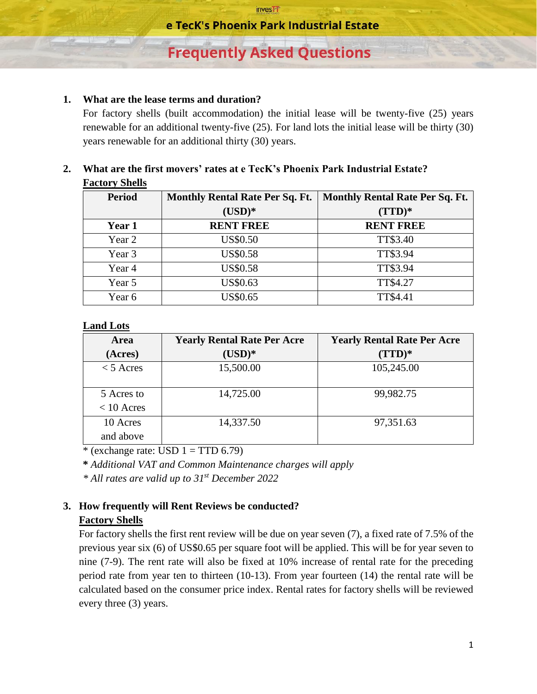# e TecK's Phoenix Park Industrial Estate

inves<sup>T</sup>

**Frequently Asked Questions** 

### **1. What are the lease terms and duration?**

For factory shells (built accommodation) the initial lease will be twenty-five (25) years renewable for an additional twenty-five (25). For land lots the initial lease will be thirty (30) years renewable for an additional thirty (30) years.

## **2. What are the first movers' rates at e TecK's Phoenix Park Industrial Estate? Factory Shells**

| <b>Period</b> | <b>Monthly Rental Rate Per Sq. Ft.</b> | <b>Monthly Rental Rate Per Sq. Ft.</b> |
|---------------|----------------------------------------|----------------------------------------|
|               | $(USD)*$                               | $(TTD)^*$                              |
| Year 1        | <b>RENT FREE</b>                       | <b>RENT FREE</b>                       |
| Year 2        | <b>US\$0.50</b>                        | TT\$3.40                               |
| Year 3        | <b>US\$0.58</b>                        | TT\$3.94                               |
| Year 4        | <b>US\$0.58</b>                        | TT\$3.94                               |
| Year 5        | <b>US\$0.63</b>                        | TT\$4.27                               |
| Year 6        | US\$0.65                               | TT\$4.41                               |

### **Land Lots**

| <b>Area</b>  | <b>Yearly Rental Rate Per Acre</b> | <b>Yearly Rental Rate Per Acre</b> |
|--------------|------------------------------------|------------------------------------|
| (Acres)      | $(USD)*$                           | $(TTD)^*$                          |
| $<$ 5 Acres  | 15,500.00                          | 105,245.00                         |
| 5 Acres to   | 14,725.00                          | 99,982.75                          |
| $< 10$ Acres |                                    |                                    |
| 10 Acres     | 14,337.50                          | 97,351.63                          |
| and above    |                                    |                                    |

\* (exchange rate: USD  $1 = TTD$  6.79)

**\*** *Additional VAT and Common Maintenance charges will apply*

*\* All rates are valid up to 31st December 2022*

# **3. How frequently will Rent Reviews be conducted?**

### **Factory Shells**

For factory shells the first rent review will be due on year seven (7), a fixed rate of 7.5% of the previous year six (6) of US\$0.65 per square foot will be applied. This will be for year seven to nine (7-9). The rent rate will also be fixed at 10% increase of rental rate for the preceding period rate from year ten to thirteen (10-13). From year fourteen (14) the rental rate will be calculated based on the consumer price index. Rental rates for factory shells will be reviewed every three (3) years.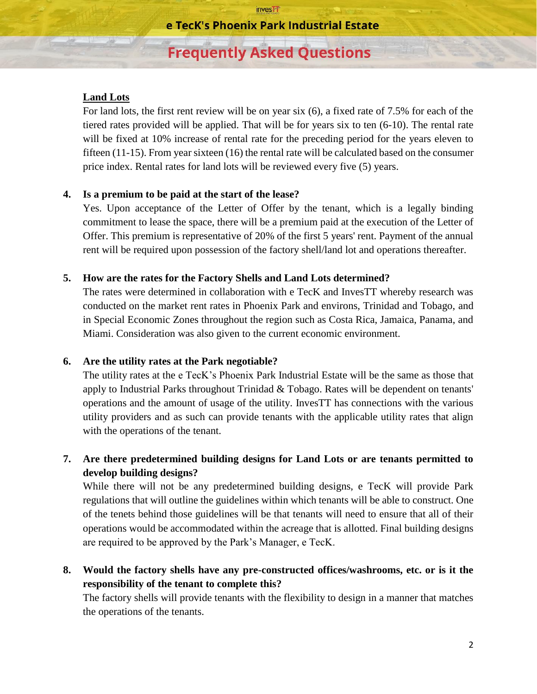# **Frequently Asked Questions**

#### **Land Lots**

For land lots, the first rent review will be on year six (6), a fixed rate of 7.5% for each of the tiered rates provided will be applied. That will be for years six to ten (6-10). The rental rate will be fixed at 10% increase of rental rate for the preceding period for the years eleven to fifteen (11-15). From year sixteen (16) the rental rate will be calculated based on the consumer price index. Rental rates for land lots will be reviewed every five (5) years.

#### **4. Is a premium to be paid at the start of the lease?**

Yes. Upon acceptance of the Letter of Offer by the tenant, which is a legally binding commitment to lease the space, there will be a premium paid at the execution of the Letter of Offer. This premium is representative of 20% of the first 5 years' rent. Payment of the annual rent will be required upon possession of the factory shell/land lot and operations thereafter.

#### **5. How are the rates for the Factory Shells and Land Lots determined?**

The rates were determined in collaboration with e TecK and InvesTT whereby research was conducted on the market rent rates in Phoenix Park and environs, Trinidad and Tobago, and in Special Economic Zones throughout the region such as Costa Rica, Jamaica, Panama, and Miami. Consideration was also given to the current economic environment.

#### **6. Are the utility rates at the Park negotiable?**

The utility rates at the e TecK's Phoenix Park Industrial Estate will be the same as those that apply to Industrial Parks throughout Trinidad & Tobago. Rates will be dependent on tenants' operations and the amount of usage of the utility. InvesTT has connections with the various utility providers and as such can provide tenants with the applicable utility rates that align with the operations of the tenant.

## **7. Are there predetermined building designs for Land Lots or are tenants permitted to develop building designs?**

While there will not be any predetermined building designs, e TecK will provide Park regulations that will outline the guidelines within which tenants will be able to construct. One of the tenets behind those guidelines will be that tenants will need to ensure that all of their operations would be accommodated within the acreage that is allotted. Final building designs are required to be approved by the Park's Manager, e TecK.

**8. Would the factory shells have any pre-constructed offices/washrooms, etc. or is it the responsibility of the tenant to complete this?**

The factory shells will provide tenants with the flexibility to design in a manner that matches the operations of the tenants.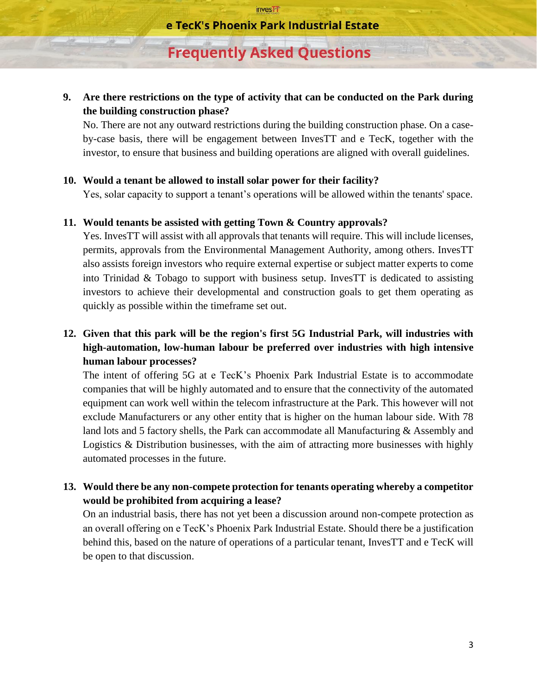**Frequently Asked Questions** 

# **9. Are there restrictions on the type of activity that can be conducted on the Park during the building construction phase?**

No. There are not any outward restrictions during the building construction phase. On a caseby-case basis, there will be engagement between InvesTT and e TecK, together with the investor, to ensure that business and building operations are aligned with overall guidelines.

### **10. Would a tenant be allowed to install solar power for their facility?**

Yes, solar capacity to support a tenant's operations will be allowed within the tenants' space.

### **11. Would tenants be assisted with getting Town & Country approvals?**

Yes. InvesTT will assist with all approvals that tenants will require. This will include licenses, permits, approvals from the Environmental Management Authority, among others. InvesTT also assists foreign investors who require external expertise or subject matter experts to come into Trinidad & Tobago to support with business setup. InvesTT is dedicated to assisting investors to achieve their developmental and construction goals to get them operating as quickly as possible within the timeframe set out.

# **12. Given that this park will be the region's first 5G Industrial Park, will industries with high-automation, low-human labour be preferred over industries with high intensive human labour processes?**

The intent of offering 5G at e TecK's Phoenix Park Industrial Estate is to accommodate companies that will be highly automated and to ensure that the connectivity of the automated equipment can work well within the telecom infrastructure at the Park. This however will not exclude Manufacturers or any other entity that is higher on the human labour side. With 78 land lots and 5 factory shells, the Park can accommodate all Manufacturing & Assembly and Logistics & Distribution businesses, with the aim of attracting more businesses with highly automated processes in the future.

# **13. Would there be any non-compete protection for tenants operating whereby a competitor would be prohibited from acquiring a lease?**

On an industrial basis, there has not yet been a discussion around non-compete protection as an overall offering on e TecK's Phoenix Park Industrial Estate. Should there be a justification behind this, based on the nature of operations of a particular tenant, InvesTT and e TecK will be open to that discussion.